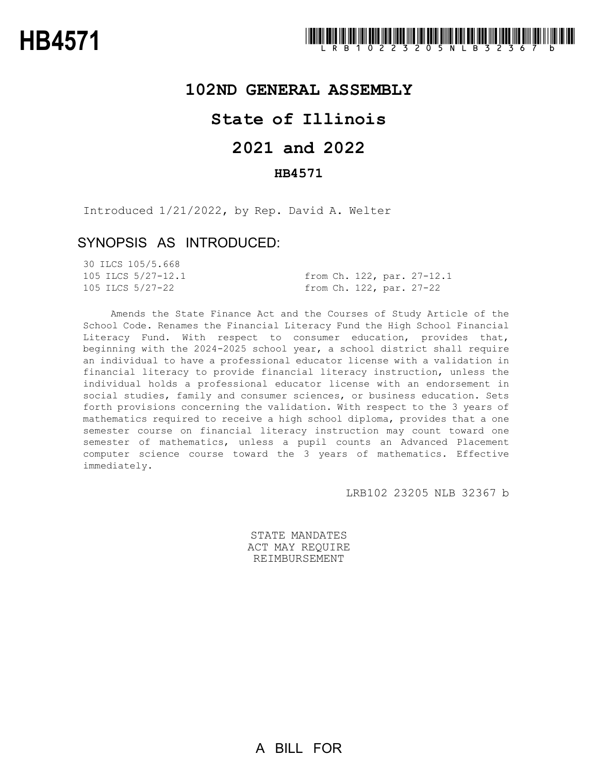## **102ND GENERAL ASSEMBLY**

# **State of Illinois**

# **2021 and 2022**

## **HB4571**

Introduced 1/21/2022, by Rep. David A. Welter

## SYNOPSIS AS INTRODUCED:

| 30 ILCS 105/5.668  |  |  |                            |
|--------------------|--|--|----------------------------|
| 105 ILCS 5/27-12.1 |  |  | from Ch. 122, par. 27-12.1 |
| 105 ILCS 5/27-22   |  |  | from Ch. 122, par. 27-22   |

Amends the State Finance Act and the Courses of Study Article of the School Code. Renames the Financial Literacy Fund the High School Financial Literacy Fund. With respect to consumer education, provides that, beginning with the 2024-2025 school year, a school district shall require an individual to have a professional educator license with a validation in financial literacy to provide financial literacy instruction, unless the individual holds a professional educator license with an endorsement in social studies, family and consumer sciences, or business education. Sets forth provisions concerning the validation. With respect to the 3 years of mathematics required to receive a high school diploma, provides that a one semester course on financial literacy instruction may count toward one semester of mathematics, unless a pupil counts an Advanced Placement computer science course toward the 3 years of mathematics. Effective immediately.

LRB102 23205 NLB 32367 b

STATE MANDATES ACT MAY REQUIRE REIMBURSEMENT

A BILL FOR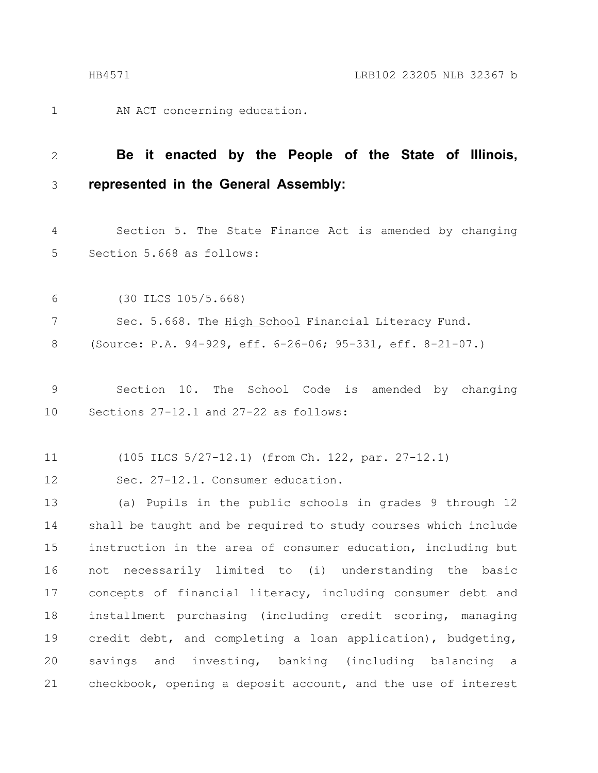AN ACT concerning education. 1

#### **Be it enacted by the People of the State of Illinois, represented in the General Assembly:** 2 3

Section 5. The State Finance Act is amended by changing Section 5.668 as follows: 4 5

(30 ILCS 105/5.668) Sec. 5.668. The High School Financial Literacy Fund. (Source: P.A. 94-929, eff. 6-26-06; 95-331, eff. 8-21-07.) 6 7 8

Section 10. The School Code is amended by changing Sections 27-12.1 and 27-22 as follows: 9 10

(105 ILCS 5/27-12.1) (from Ch. 122, par. 27-12.1) 11

Sec. 27-12.1. Consumer education. 12

(a) Pupils in the public schools in grades 9 through 12 shall be taught and be required to study courses which include instruction in the area of consumer education, including but not necessarily limited to (i) understanding the basic concepts of financial literacy, including consumer debt and installment purchasing (including credit scoring, managing credit debt, and completing a loan application), budgeting, savings and investing, banking (including balancing a checkbook, opening a deposit account, and the use of interest 13 14 15 16 17 18 19 20 21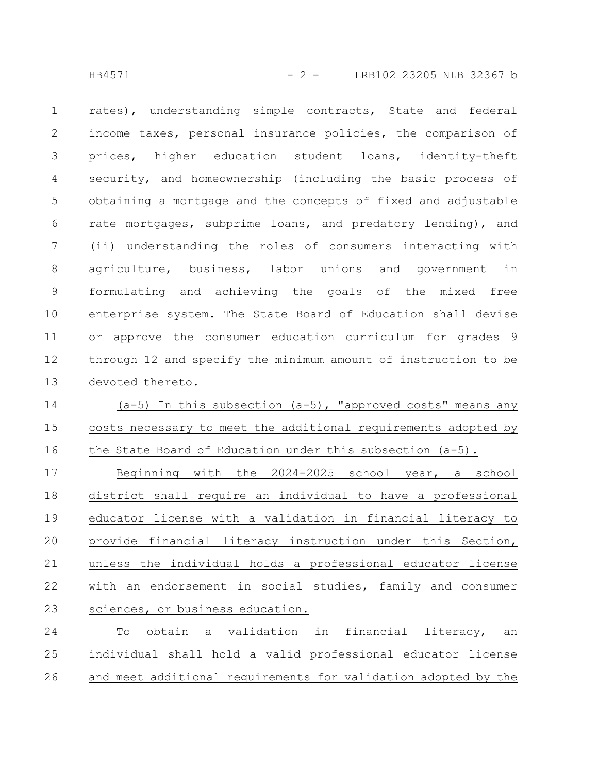HB4571 - 2 - LRB102 23205 NLB 32367 b

rates), understanding simple contracts, State and federal income taxes, personal insurance policies, the comparison of prices, higher education student loans, identity-theft security, and homeownership (including the basic process of obtaining a mortgage and the concepts of fixed and adjustable rate mortgages, subprime loans, and predatory lending), and (ii) understanding the roles of consumers interacting with agriculture, business, labor unions and government in formulating and achieving the goals of the mixed free enterprise system. The State Board of Education shall devise or approve the consumer education curriculum for grades 9 through 12 and specify the minimum amount of instruction to be devoted thereto. 1 2 3 4 5 6 7 8 9 10 11 12 13

 $(a-5)$  In this subsection  $(a-5)$ , "approved costs" means any costs necessary to meet the additional requirements adopted by the State Board of Education under this subsection (a-5). 14 15 16

Beginning with the 2024-2025 school year, a school district shall require an individual to have a professional educator license with a validation in financial literacy to provide financial literacy instruction under this Section, unless the individual holds a professional educator license with an endorsement in social studies, family and consumer sciences, or business education. 17 18 19 20 21 22 23

To obtain a validation in financial literacy, an individual shall hold a valid professional educator license and meet additional requirements for validation adopted by the 24 25 26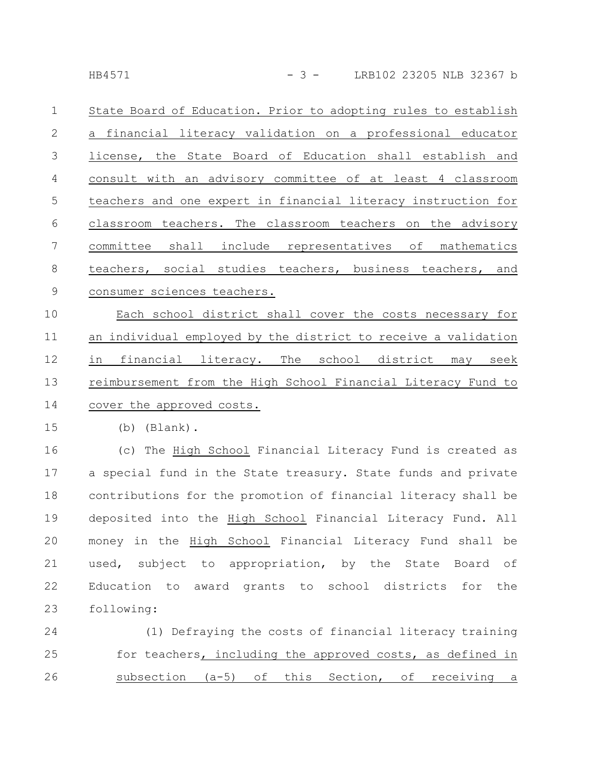State Board of Education. Prior to adopting rules to establish a financial literacy validation on a professional educator license, the State Board of Education shall establish and consult with an advisory committee of at least 4 classroom teachers and one expert in financial literacy instruction for classroom teachers. The classroom teachers on the advisory committee shall include representatives of mathematics teachers, social studies teachers, business teachers, and consumer sciences teachers. 1 2 3 4 5 6 7 8 9

Each school district shall cover the costs necessary for an individual employed by the district to receive a validation in financial literacy. The school district may seek reimbursement from the High School Financial Literacy Fund to cover the approved costs. 10 11 12 13 14

(b) (Blank). 15

(c) The High School Financial Literacy Fund is created as a special fund in the State treasury. State funds and private contributions for the promotion of financial literacy shall be deposited into the High School Financial Literacy Fund. All money in the High School Financial Literacy Fund shall be used, subject to appropriation, by the State Board of Education to award grants to school districts for the following: 16 17 18 19 20 21 22 23

(1) Defraying the costs of financial literacy training for teachers, including the approved costs, as defined in subsection (a-5) of this Section, of receiving a 24 25 26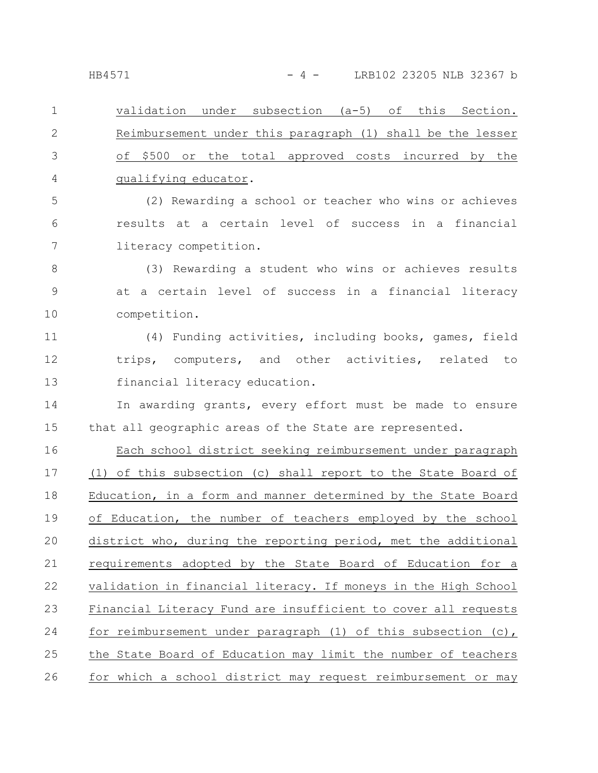validation under subsection (a-5) of this Section. Reimbursement under this paragraph (1) shall be the lesser of \$500 or the total approved costs incurred by the qualifying educator. (2) Rewarding a school or teacher who wins or achieves 1 2 3 4 5

results at a certain level of success in a financial literacy competition. 6 7

(3) Rewarding a student who wins or achieves results at a certain level of success in a financial literacy competition. 8 9 10

(4) Funding activities, including books, games, field trips, computers, and other activities, related to financial literacy education. 11 12 13

In awarding grants, every effort must be made to ensure that all geographic areas of the State are represented. 14 15

Each school district seeking reimbursement under paragraph (1) of this subsection (c) shall report to the State Board of Education, in a form and manner determined by the State Board of Education, the number of teachers employed by the school district who, during the reporting period, met the additional requirements adopted by the State Board of Education for a validation in financial literacy. If moneys in the High School Financial Literacy Fund are insufficient to cover all requests for reimbursement under paragraph (1) of this subsection (c), the State Board of Education may limit the number of teachers for which a school district may request reimbursement or may 16 17 18 19 20 21 22 23 24 25 26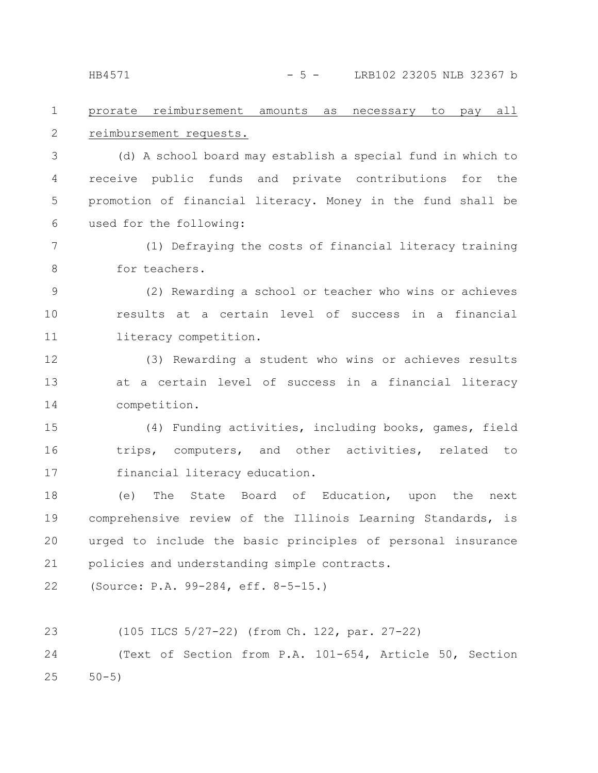#### prorate reimbursement amounts as necessary to pay all reimbursement requests. 1 2

(d) A school board may establish a special fund in which to receive public funds and private contributions for the promotion of financial literacy. Money in the fund shall be used for the following: 3 4 5 6

(1) Defraying the costs of financial literacy training for teachers. 7 8

(2) Rewarding a school or teacher who wins or achieves results at a certain level of success in a financial literacy competition. 9 10 11

(3) Rewarding a student who wins or achieves results at a certain level of success in a financial literacy competition. 12 13 14

(4) Funding activities, including books, games, field trips, computers, and other activities, related to financial literacy education. 15 16 17

(e) The State Board of Education, upon the next comprehensive review of the Illinois Learning Standards, is urged to include the basic principles of personal insurance policies and understanding simple contracts. 18 19 20 21

(Source: P.A. 99-284, eff. 8-5-15.) 22

(105 ILCS 5/27-22) (from Ch. 122, par. 27-22) 23

(Text of Section from P.A. 101-654, Article 50, Section  $50 - 5)$ 24 25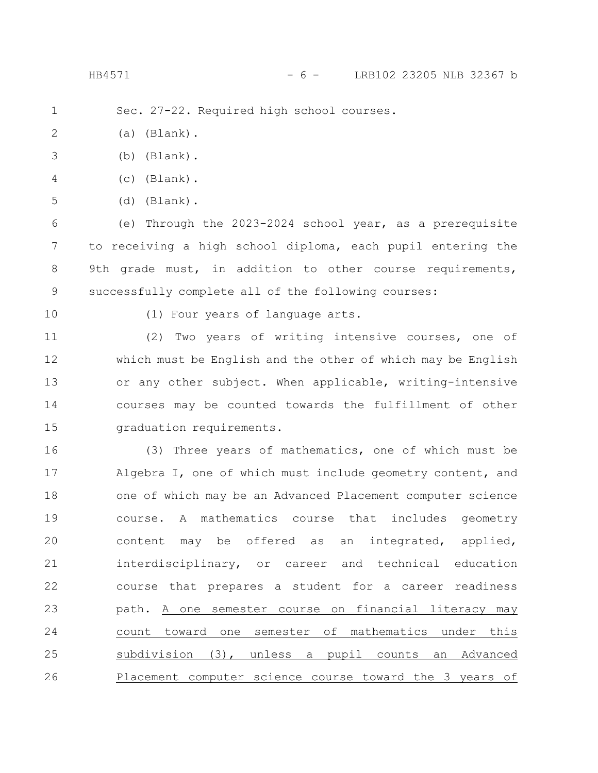HB4571 - 6 - LRB102 23205 NLB 32367 b

Sec. 27-22. Required high school courses. 1

(a) (Blank). 2

- (b) (Blank). 3
- (c) (Blank). 4
- (d) (Blank). 5

(e) Through the 2023-2024 school year, as a prerequisite to receiving a high school diploma, each pupil entering the 9th grade must, in addition to other course requirements, successfully complete all of the following courses: 6 7 8 9

10

(1) Four years of language arts.

(2) Two years of writing intensive courses, one of which must be English and the other of which may be English or any other subject. When applicable, writing-intensive courses may be counted towards the fulfillment of other graduation requirements. 11 12 13 14 15

(3) Three years of mathematics, one of which must be Algebra I, one of which must include geometry content, and one of which may be an Advanced Placement computer science course. A mathematics course that includes geometry content may be offered as an integrated, applied, interdisciplinary, or career and technical education course that prepares a student for a career readiness path. A one semester course on financial literacy may count toward one semester of mathematics under this subdivision (3), unless a pupil counts an Advanced Placement computer science course toward the 3 years of 16 17 18 19 20 21 22 23 24 25 26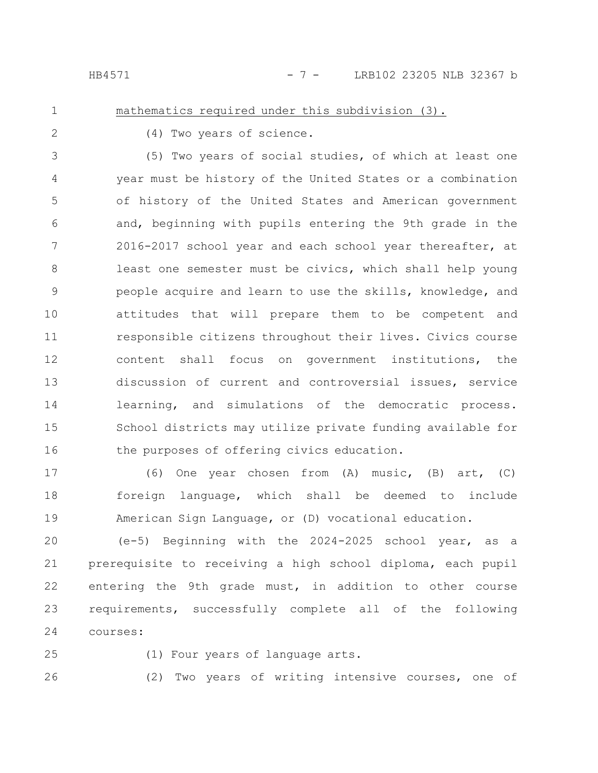### mathematics required under this subdivision (3).

1 2

(4) Two years of science.

(5) Two years of social studies, of which at least one year must be history of the United States or a combination of history of the United States and American government and, beginning with pupils entering the 9th grade in the 2016-2017 school year and each school year thereafter, at least one semester must be civics, which shall help young people acquire and learn to use the skills, knowledge, and attitudes that will prepare them to be competent and responsible citizens throughout their lives. Civics course content shall focus on government institutions, the discussion of current and controversial issues, service learning, and simulations of the democratic process. School districts may utilize private funding available for the purposes of offering civics education. 3 4 5 6 7 8 9 10 11 12 13 14 15 16

(6) One year chosen from (A) music, (B) art, (C) foreign language, which shall be deemed to include American Sign Language, or (D) vocational education. 17 18 19

(e-5) Beginning with the 2024-2025 school year, as a prerequisite to receiving a high school diploma, each pupil entering the 9th grade must, in addition to other course requirements, successfully complete all of the following courses: 20 21 22 23 24

25

(1) Four years of language arts.

26

(2) Two years of writing intensive courses, one of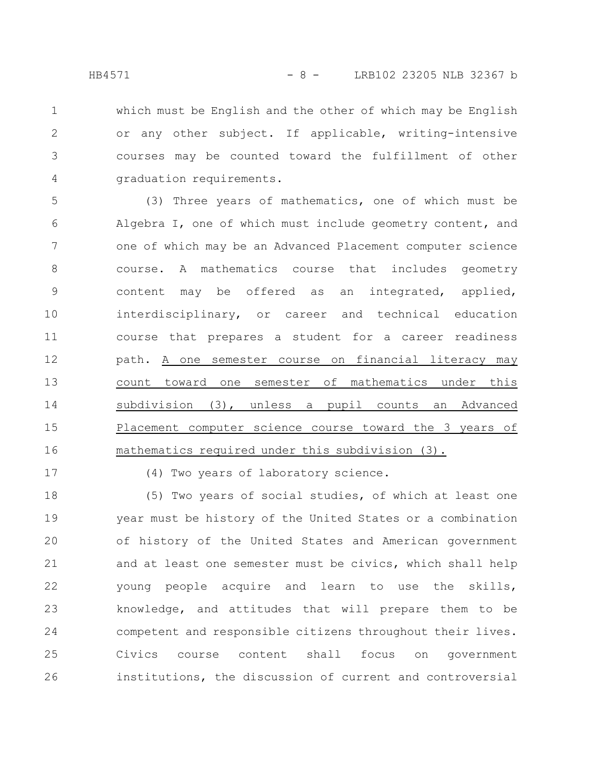which must be English and the other of which may be English or any other subject. If applicable, writing-intensive courses may be counted toward the fulfillment of other graduation requirements. 1 2 3 4

(3) Three years of mathematics, one of which must be Algebra I, one of which must include geometry content, and one of which may be an Advanced Placement computer science course. A mathematics course that includes geometry content may be offered as an integrated, applied, interdisciplinary, or career and technical education course that prepares a student for a career readiness path. A one semester course on financial literacy may count toward one semester of mathematics under this subdivision (3), unless a pupil counts an Advanced Placement computer science course toward the 3 years of mathematics required under this subdivision (3). 5 6 7 8 9 10 11 12 13 14 15 16

17

(4) Two years of laboratory science.

(5) Two years of social studies, of which at least one year must be history of the United States or a combination of history of the United States and American government and at least one semester must be civics, which shall help young people acquire and learn to use the skills, knowledge, and attitudes that will prepare them to be competent and responsible citizens throughout their lives. Civics course content shall focus on government institutions, the discussion of current and controversial 18 19 20 21 22 23 24 25 26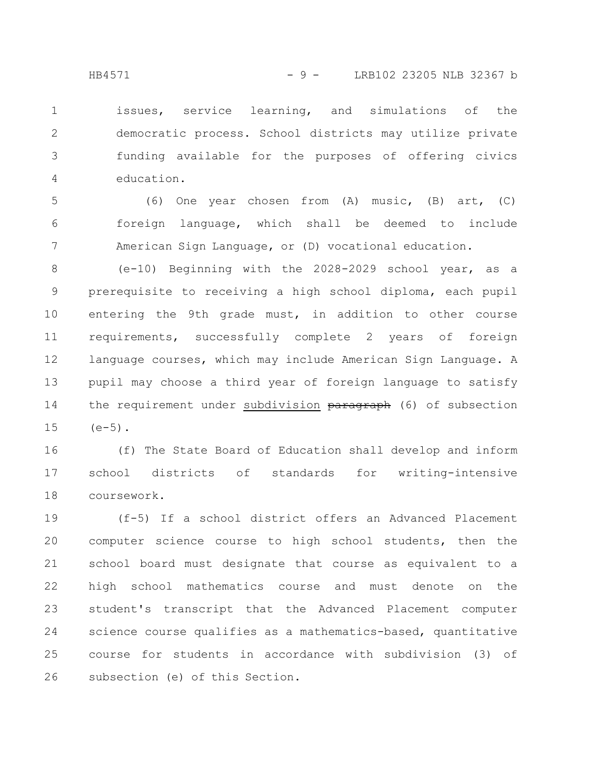issues, service learning, and simulations of the democratic process. School districts may utilize private funding available for the purposes of offering civics education. 1 2 3 4

(6) One year chosen from (A) music, (B) art, (C) foreign language, which shall be deemed to include American Sign Language, or (D) vocational education. 5 6 7

(e-10) Beginning with the 2028-2029 school year, as a prerequisite to receiving a high school diploma, each pupil entering the 9th grade must, in addition to other course requirements, successfully complete 2 years of foreign language courses, which may include American Sign Language. A pupil may choose a third year of foreign language to satisfy the requirement under subdivision paragraph (6) of subsection  $(e-5)$ . 8 9 10 11 12 13 14 15

(f) The State Board of Education shall develop and inform school districts of standards for writing-intensive coursework. 16 17 18

(f-5) If a school district offers an Advanced Placement computer science course to high school students, then the school board must designate that course as equivalent to a high school mathematics course and must denote on the student's transcript that the Advanced Placement computer science course qualifies as a mathematics-based, quantitative course for students in accordance with subdivision (3) of subsection (e) of this Section. 19 20 21 22 23 24 25 26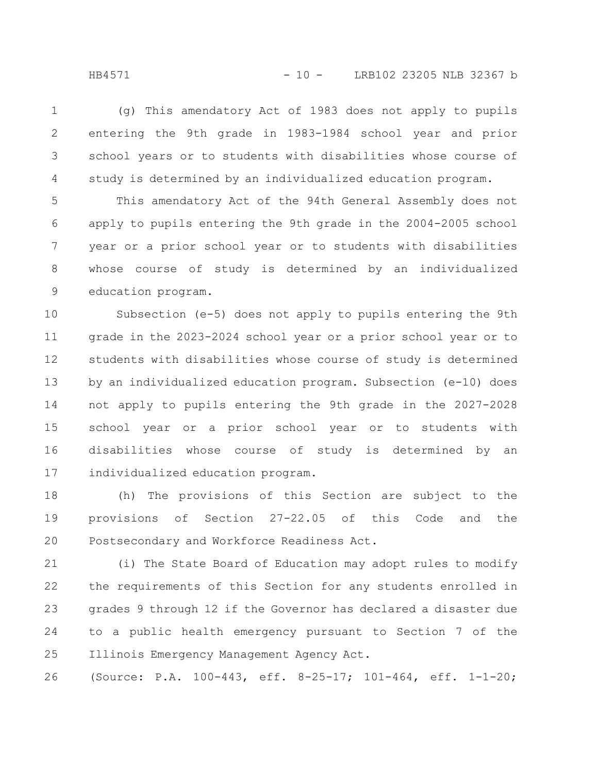(g) This amendatory Act of 1983 does not apply to pupils entering the 9th grade in 1983-1984 school year and prior school years or to students with disabilities whose course of study is determined by an individualized education program. 1 2 3 4

This amendatory Act of the 94th General Assembly does not apply to pupils entering the 9th grade in the 2004-2005 school year or a prior school year or to students with disabilities whose course of study is determined by an individualized education program. 5 6 7 8 9

Subsection (e-5) does not apply to pupils entering the 9th grade in the 2023-2024 school year or a prior school year or to students with disabilities whose course of study is determined by an individualized education program. Subsection (e-10) does not apply to pupils entering the 9th grade in the 2027-2028 school year or a prior school year or to students with disabilities whose course of study is determined by an individualized education program. 10 11 12 13 14 15 16 17

(h) The provisions of this Section are subject to the provisions of Section 27-22.05 of this Code and the Postsecondary and Workforce Readiness Act. 18 19 20

(i) The State Board of Education may adopt rules to modify the requirements of this Section for any students enrolled in grades 9 through 12 if the Governor has declared a disaster due to a public health emergency pursuant to Section 7 of the Illinois Emergency Management Agency Act. 21 22 23 24 25

(Source: P.A. 100-443, eff. 8-25-17; 101-464, eff. 1-1-20; 26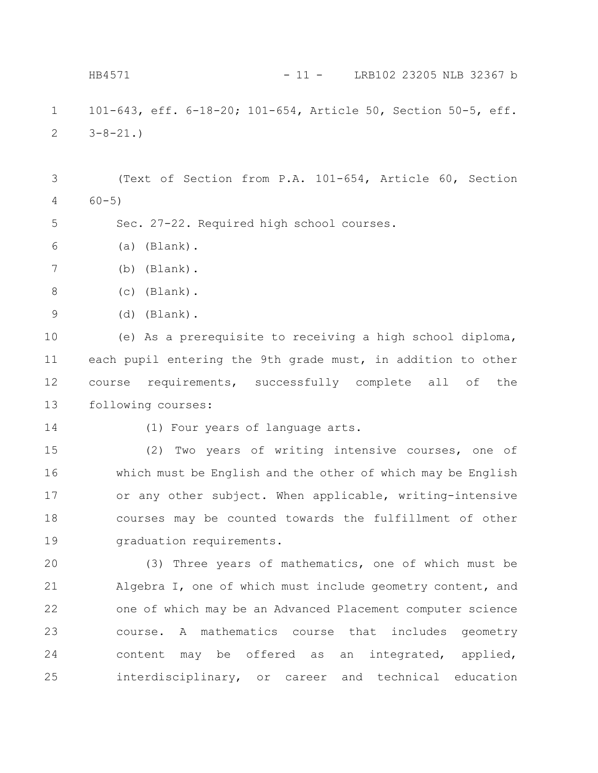101-643, eff. 6-18-20; 101-654, Article 50, Section 50-5, eff.  $3-8-21.$ (Text of Section from P.A. 101-654, Article 60, Section 60-5) Sec. 27-22. Required high school courses. (a) (Blank). (b) (Blank). (c) (Blank). (d) (Blank). (e) As a prerequisite to receiving a high school diploma, each pupil entering the 9th grade must, in addition to other course requirements, successfully complete all of the following courses: (1) Four years of language arts. (2) Two years of writing intensive courses, one of which must be English and the other of which may be English or any other subject. When applicable, writing-intensive courses may be counted towards the fulfillment of other graduation requirements. (3) Three years of mathematics, one of which must be Algebra I, one of which must include geometry content, and one of which may be an Advanced Placement computer science course. A mathematics course that includes geometry content may be offered as an integrated, applied, interdisciplinary, or career and technical education 1 2 3 4 5 6 7 8 9 10 11 12 13 14 15 16 17 18 19 20 21 22 23 24 25 HB4571 - 11 - LRB102 23205 NLB 32367 b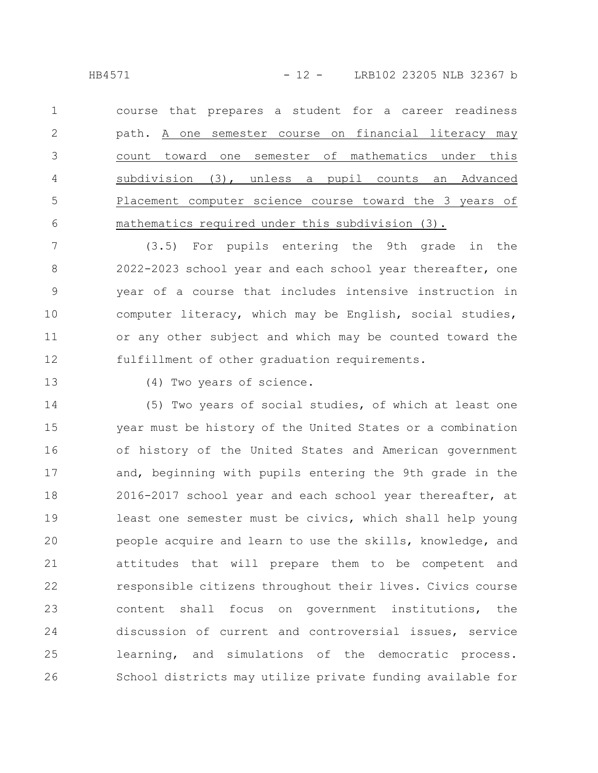HB4571 - 12 - LRB102 23205 NLB 32367 b

course that prepares a student for a career readiness path. A one semester course on financial literacy may count toward one semester of mathematics under this subdivision (3), unless a pupil counts an Advanced Placement computer science course toward the 3 years of mathematics required under this subdivision (3). 1 2 3 4 5 6

(3.5) For pupils entering the 9th grade in the 2022-2023 school year and each school year thereafter, one year of a course that includes intensive instruction in computer literacy, which may be English, social studies, or any other subject and which may be counted toward the fulfillment of other graduation requirements. 7 8 9 10 11 12

13

(4) Two years of science.

(5) Two years of social studies, of which at least one year must be history of the United States or a combination of history of the United States and American government and, beginning with pupils entering the 9th grade in the 2016-2017 school year and each school year thereafter, at least one semester must be civics, which shall help young people acquire and learn to use the skills, knowledge, and attitudes that will prepare them to be competent and responsible citizens throughout their lives. Civics course content shall focus on government institutions, the discussion of current and controversial issues, service learning, and simulations of the democratic process. School districts may utilize private funding available for 14 15 16 17 18 19 20 21 22 23 24 25 26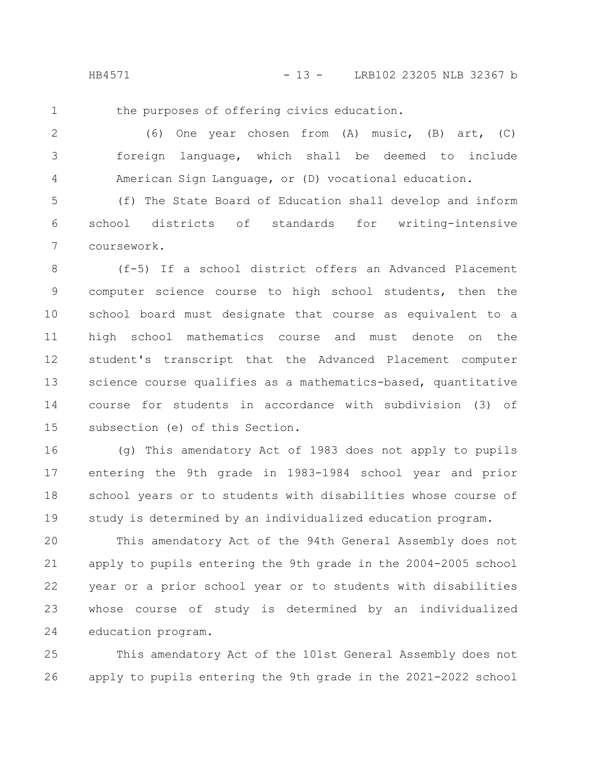HB4571 - 13 - LRB102 23205 NLB 32367 b

1

the purposes of offering civics education.

(6) One year chosen from (A) music, (B) art, (C) foreign language, which shall be deemed to include American Sign Language, or (D) vocational education. 2 3 4

(f) The State Board of Education shall develop and inform school districts of standards for writing-intensive coursework. 5 6 7

(f-5) If a school district offers an Advanced Placement computer science course to high school students, then the school board must designate that course as equivalent to a high school mathematics course and must denote on the student's transcript that the Advanced Placement computer science course qualifies as a mathematics-based, quantitative course for students in accordance with subdivision (3) of subsection (e) of this Section. 8 9 10 11 12 13 14 15

(g) This amendatory Act of 1983 does not apply to pupils entering the 9th grade in 1983-1984 school year and prior school years or to students with disabilities whose course of study is determined by an individualized education program. 16 17 18 19

This amendatory Act of the 94th General Assembly does not apply to pupils entering the 9th grade in the 2004-2005 school year or a prior school year or to students with disabilities whose course of study is determined by an individualized education program. 20 21 22 23 24

This amendatory Act of the 101st General Assembly does not apply to pupils entering the 9th grade in the 2021-2022 school 25 26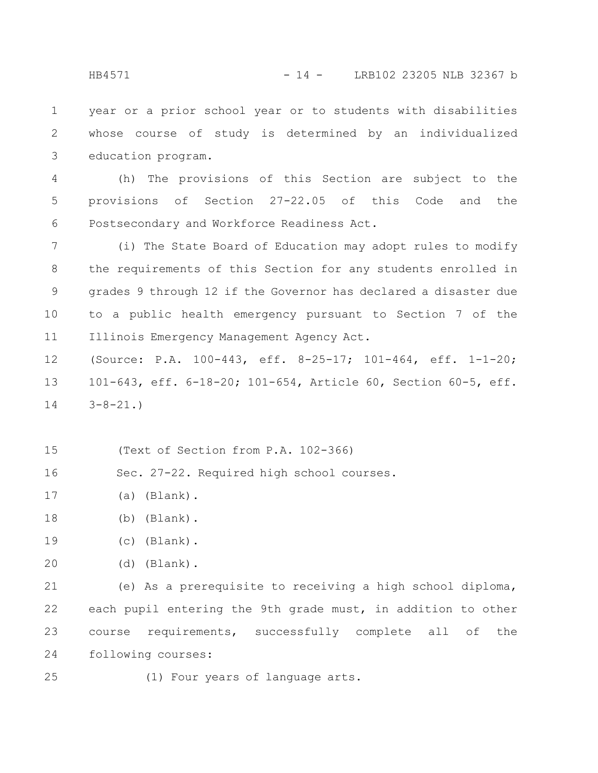year or a prior school year or to students with disabilities whose course of study is determined by an individualized education program. 1 2 3

(h) The provisions of this Section are subject to the provisions of Section 27-22.05 of this Code and the Postsecondary and Workforce Readiness Act. 4 5 6

(i) The State Board of Education may adopt rules to modify the requirements of this Section for any students enrolled in grades 9 through 12 if the Governor has declared a disaster due to a public health emergency pursuant to Section 7 of the Illinois Emergency Management Agency Act. 7 8 9 10 11

(Source: P.A. 100-443, eff. 8-25-17; 101-464, eff. 1-1-20; 101-643, eff. 6-18-20; 101-654, Article 60, Section 60-5, eff.  $3 - 8 - 21.$ 12 13 14

- (Text of Section from P.A. 102-366) 15
- Sec. 27-22. Required high school courses. 16
- (a) (Blank). 17
- (b) (Blank). 18
- (c) (Blank). 19
- (d) (Blank). 20

(e) As a prerequisite to receiving a high school diploma, each pupil entering the 9th grade must, in addition to other course requirements, successfully complete all of the following courses: 21 22 23 24

(1) Four years of language arts. 25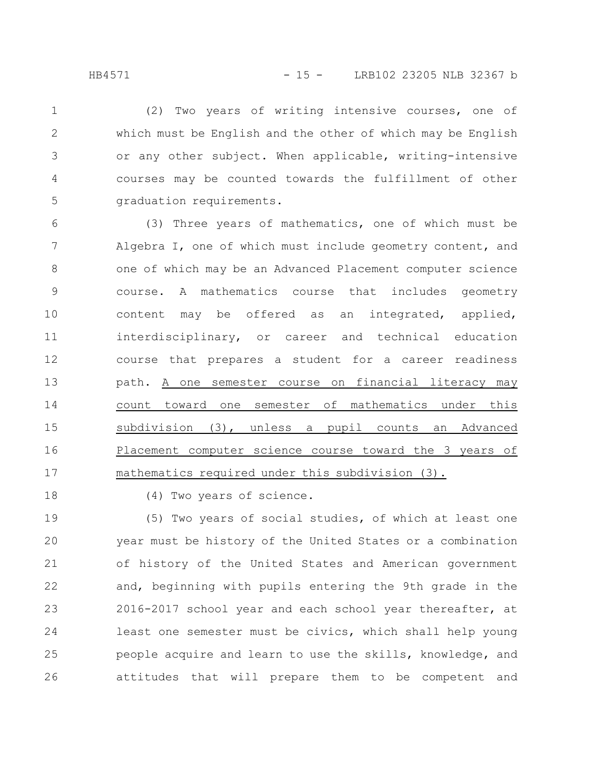(2) Two years of writing intensive courses, one of which must be English and the other of which may be English or any other subject. When applicable, writing-intensive courses may be counted towards the fulfillment of other graduation requirements. 1 2 3 4 5

(3) Three years of mathematics, one of which must be Algebra I, one of which must include geometry content, and one of which may be an Advanced Placement computer science course. A mathematics course that includes geometry content may be offered as an integrated, applied, interdisciplinary, or career and technical education course that prepares a student for a career readiness path. A one semester course on financial literacy may count toward one semester of mathematics under this subdivision (3), unless a pupil counts an Advanced Placement computer science course toward the 3 years of mathematics required under this subdivision (3). 6 7 8 9 10 11 12 13 14 15 16 17

18

(4) Two years of science.

(5) Two years of social studies, of which at least one year must be history of the United States or a combination of history of the United States and American government and, beginning with pupils entering the 9th grade in the 2016-2017 school year and each school year thereafter, at least one semester must be civics, which shall help young people acquire and learn to use the skills, knowledge, and attitudes that will prepare them to be competent and 19 20 21 22 23 24 25 26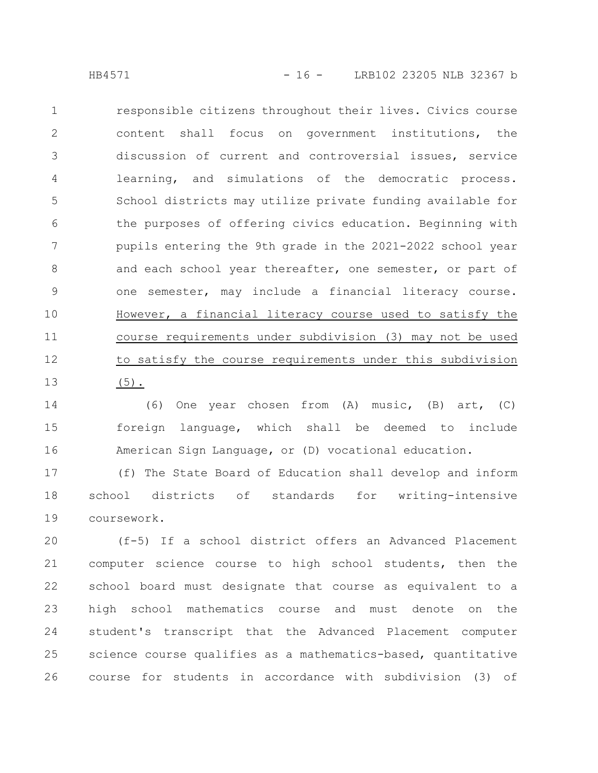responsible citizens throughout their lives. Civics course content shall focus on government institutions, the discussion of current and controversial issues, service learning, and simulations of the democratic process. School districts may utilize private funding available for the purposes of offering civics education. Beginning with pupils entering the 9th grade in the 2021-2022 school year and each school year thereafter, one semester, or part of one semester, may include a financial literacy course. However, a financial literacy course used to satisfy the course requirements under subdivision (3) may not be used to satisfy the course requirements under this subdivision (5). 1 2 3 4 5 6 7 8 9 10 11 12 13

(6) One year chosen from (A) music, (B) art, (C) foreign language, which shall be deemed to include American Sign Language, or (D) vocational education. 14 15 16

(f) The State Board of Education shall develop and inform school districts of standards for writing-intensive coursework. 17 18 19

(f-5) If a school district offers an Advanced Placement computer science course to high school students, then the school board must designate that course as equivalent to a high school mathematics course and must denote on the student's transcript that the Advanced Placement computer science course qualifies as a mathematics-based, quantitative course for students in accordance with subdivision (3) of 20 21 22 23 24 25 26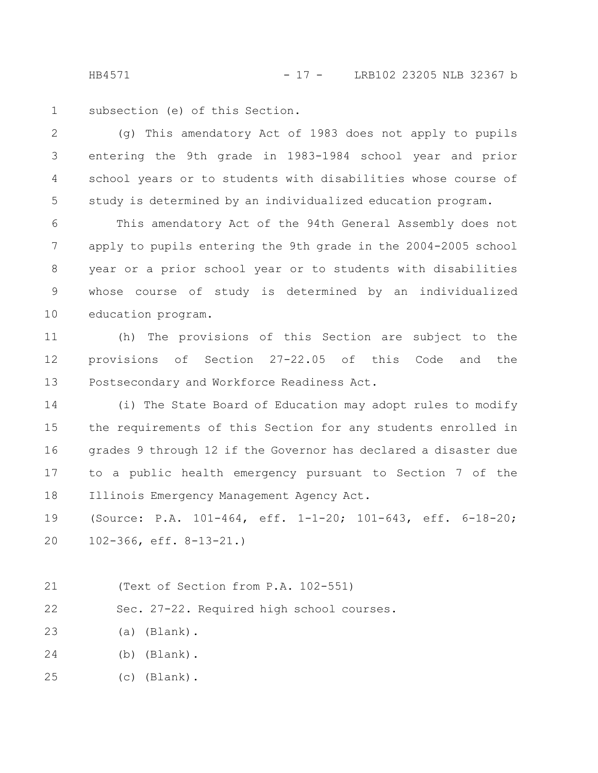HB4571 - 17 - LRB102 23205 NLB 32367 b

subsection (e) of this Section. 1

(g) This amendatory Act of 1983 does not apply to pupils entering the 9th grade in 1983-1984 school year and prior school years or to students with disabilities whose course of study is determined by an individualized education program. 2 3 4 5

This amendatory Act of the 94th General Assembly does not apply to pupils entering the 9th grade in the 2004-2005 school year or a prior school year or to students with disabilities whose course of study is determined by an individualized education program. 6 7 8 9 10

(h) The provisions of this Section are subject to the provisions of Section 27-22.05 of this Code and the Postsecondary and Workforce Readiness Act. 11 12 13

(i) The State Board of Education may adopt rules to modify the requirements of this Section for any students enrolled in grades 9 through 12 if the Governor has declared a disaster due to a public health emergency pursuant to Section 7 of the Illinois Emergency Management Agency Act. 14 15 16 17 18

(Source: P.A. 101-464, eff. 1-1-20; 101-643, eff. 6-18-20; 102-366, eff. 8-13-21.) 19 20

(Text of Section from P.A. 102-551) 21

Sec. 27-22. Required high school courses. 22

(a) (Blank). 23

(b) (Blank). 24

(c) (Blank). 25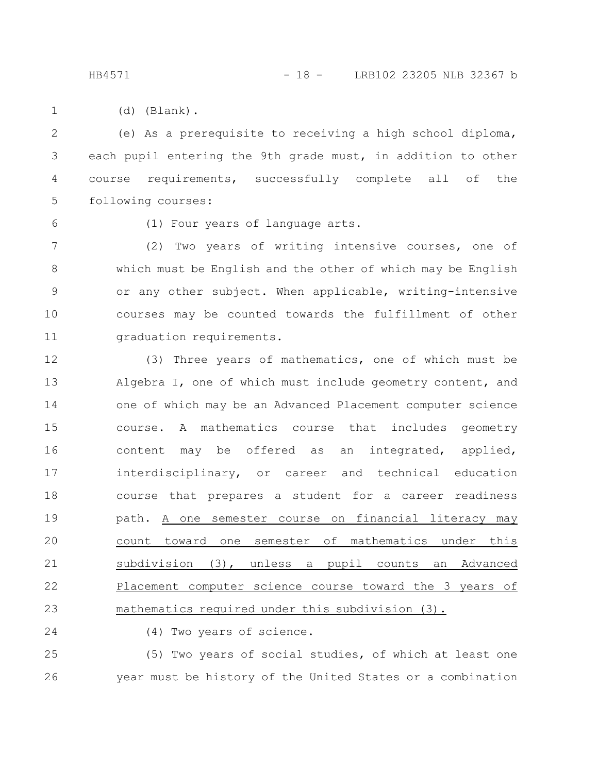HB4571 - 18 - LRB102 23205 NLB 32367 b

(d) (Blank). 1

(e) As a prerequisite to receiving a high school diploma, each pupil entering the 9th grade must, in addition to other course requirements, successfully complete all of the following courses: 2 3 4 5

6

(1) Four years of language arts.

(2) Two years of writing intensive courses, one of which must be English and the other of which may be English or any other subject. When applicable, writing-intensive courses may be counted towards the fulfillment of other graduation requirements. 7 8 9 10 11

(3) Three years of mathematics, one of which must be Algebra I, one of which must include geometry content, and one of which may be an Advanced Placement computer science course. A mathematics course that includes geometry content may be offered as an integrated, applied, interdisciplinary, or career and technical education course that prepares a student for a career readiness path. A one semester course on financial literacy may count toward one semester of mathematics under this subdivision (3), unless a pupil counts an Advanced Placement computer science course toward the 3 years of mathematics required under this subdivision (3). 12 13 14 15 16 17 18 19 20 21 22 23

24

(4) Two years of science.

(5) Two years of social studies, of which at least one year must be history of the United States or a combination 25 26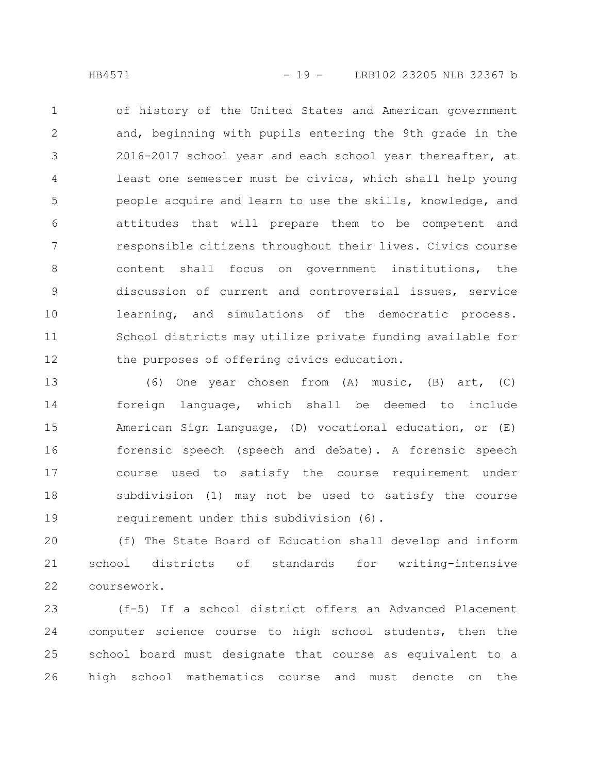of history of the United States and American government and, beginning with pupils entering the 9th grade in the 2016-2017 school year and each school year thereafter, at least one semester must be civics, which shall help young people acquire and learn to use the skills, knowledge, and attitudes that will prepare them to be competent and responsible citizens throughout their lives. Civics course content shall focus on government institutions, the discussion of current and controversial issues, service learning, and simulations of the democratic process. School districts may utilize private funding available for the purposes of offering civics education. 1 2 3 4 5 6 7 8 9 10 11 12

(6) One year chosen from (A) music, (B) art, (C) foreign language, which shall be deemed to include American Sign Language, (D) vocational education, or (E) forensic speech (speech and debate). A forensic speech course used to satisfy the course requirement under subdivision (1) may not be used to satisfy the course requirement under this subdivision (6). 13 14 15 16 17 18 19

(f) The State Board of Education shall develop and inform school districts of standards for writing-intensive coursework. 20 21 22

(f-5) If a school district offers an Advanced Placement computer science course to high school students, then the school board must designate that course as equivalent to a high school mathematics course and must denote on the 23 24 25 26